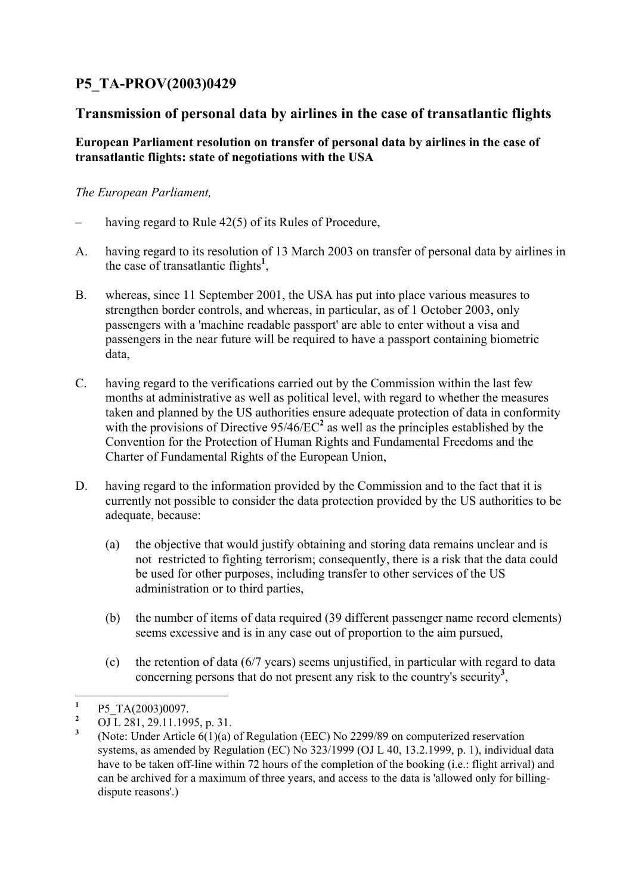## **P5\_TA-PROV(2003)0429**

## **Transmission of personal data by airlines in the case of transatlantic flights**

## **European Parliament resolution on transfer of personal data by airlines in the case of transatlantic flights: state of negotiations with the USA**

## *The European Parliament,*

- having regard to Rule 42(5) of its Rules of Procedure,
- A. having regard to its resolution of 13 March 2003 on transfer of personal data by airlines in the case of transatlantic flights**<sup>1</sup>** ,
- B. whereas, since 11 September 2001, the USA has put into place various measures to strengthen border controls, and whereas, in particular, as of 1 October 2003, only passengers with a 'machine readable passport' are able to enter without a visa and passengers in the near future will be required to have a passport containing biometric data,
- C. having regard to the verifications carried out by the Commission within the last few months at administrative as well as political level, with regard to whether the measures taken and planned by the US authorities ensure adequate protection of data in conformity with the provisions of Directive  $95/46/EC^2$  as well as the principles established by the Convention for the Protection of Human Rights and Fundamental Freedoms and the Charter of Fundamental Rights of the European Union,
- D. having regard to the information provided by the Commission and to the fact that it is currently not possible to consider the data protection provided by the US authorities to be adequate, because:
	- (a) the objective that would justify obtaining and storing data remains unclear and is not restricted to fighting terrorism; consequently, there is a risk that the data could be used for other purposes, including transfer to other services of the US administration or to third parties,
	- (b) the number of items of data required (39 different passenger name record elements) seems excessive and is in any case out of proportion to the aim pursued,
	- (c) the retention of data (6/7 years) seems unjustified, in particular with regard to data concerning persons that do not present any risk to the country's security**<sup>3</sup>** ,

 **1** P5\_TA(2003)0097.

**<sup>2</sup>** OJ L 281, 29.11.1995, p. 31.

**<sup>3</sup>** (Note: Under Article 6(1)(a) of Regulation (EEC) No 2299/89 on computerized reservation systems, as amended by Regulation (EC) No 323/1999 (OJ L 40, 13.2.1999, p. 1), individual data have to be taken off-line within 72 hours of the completion of the booking (i.e.: flight arrival) and can be archived for a maximum of three years, and access to the data is 'allowed only for billingdispute reasons'.)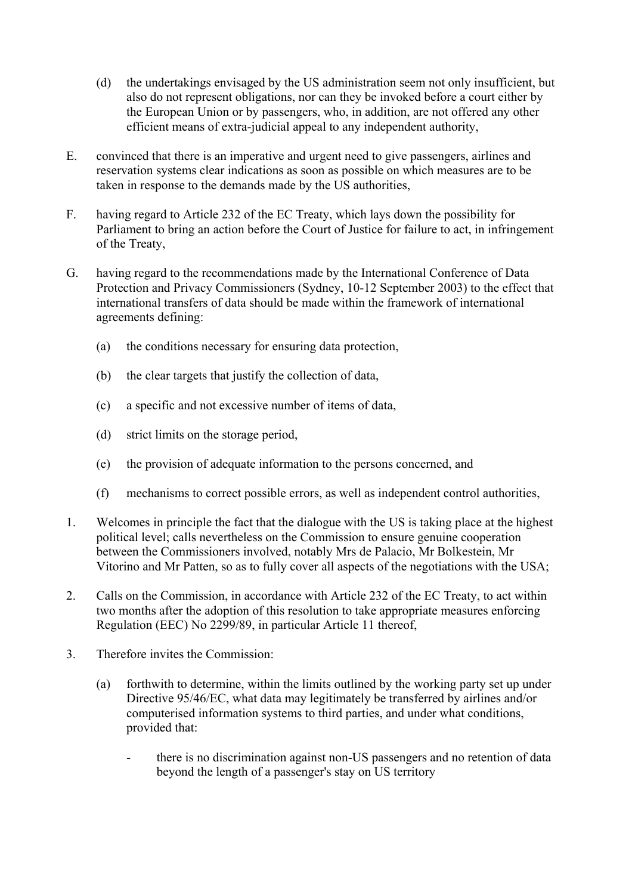- (d) the undertakings envisaged by the US administration seem not only insufficient, but also do not represent obligations, nor can they be invoked before a court either by the European Union or by passengers, who, in addition, are not offered any other efficient means of extra-judicial appeal to any independent authority,
- E. convinced that there is an imperative and urgent need to give passengers, airlines and reservation systems clear indications as soon as possible on which measures are to be taken in response to the demands made by the US authorities,
- F. having regard to Article 232 of the EC Treaty, which lays down the possibility for Parliament to bring an action before the Court of Justice for failure to act, in infringement of the Treaty,
- G. having regard to the recommendations made by the International Conference of Data Protection and Privacy Commissioners (Sydney, 10-12 September 2003) to the effect that international transfers of data should be made within the framework of international agreements defining:
	- (a) the conditions necessary for ensuring data protection,
	- (b) the clear targets that justify the collection of data,
	- (c) a specific and not excessive number of items of data,
	- (d) strict limits on the storage period,
	- (e) the provision of adequate information to the persons concerned, and
	- (f) mechanisms to correct possible errors, as well as independent control authorities,
- 1. Welcomes in principle the fact that the dialogue with the US is taking place at the highest political level; calls nevertheless on the Commission to ensure genuine cooperation between the Commissioners involved, notably Mrs de Palacio, Mr Bolkestein, Mr Vitorino and Mr Patten, so as to fully cover all aspects of the negotiations with the USA;
- 2. Calls on the Commission, in accordance with Article 232 of the EC Treaty, to act within two months after the adoption of this resolution to take appropriate measures enforcing Regulation (EEC) No 2299/89, in particular Article 11 thereof,
- 3. Therefore invites the Commission:
	- (a) forthwith to determine, within the limits outlined by the working party set up under Directive 95/46/EC, what data may legitimately be transferred by airlines and/or computerised information systems to third parties, and under what conditions, provided that:
		- there is no discrimination against non-US passengers and no retention of data beyond the length of a passenger's stay on US territory